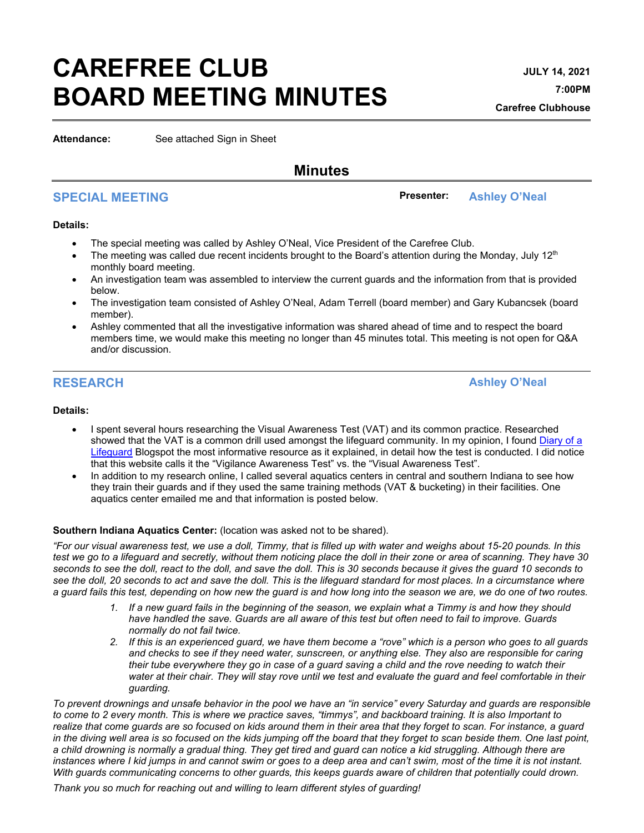# **CAREFREE CLUB BOARD MEETING MINUTES**

**Attendance:** See attached Sign in Sheet

# **Minutes**

# **SPECIAL MEETING Presenter: Ashley O'Neal**

#### **Details:**

- The special meeting was called by Ashley O'Neal, Vice President of the Carefree Club.
- The meeting was called due recent incidents brought to the Board's attention during the Monday, July 12<sup>th</sup> monthly board meeting.
- An investigation team was assembled to interview the current guards and the information from that is provided below.
- The investigation team consisted of Ashley O'Neal, Adam Terrell (board member) and Gary Kubancsek (board member).
- Ashley commented that all the investigative information was shared ahead of time and to respect the board members time, we would make this meeting no longer than 45 minutes total. This meeting is not open for Q&A and/or discussion.

**RESEARCH Ashley O'Neal**

### **Details:**

- I spent several hours researching the Visual Awareness Test (VAT) and its common practice. Researched showed that the VAT is a common drill used amongst the lifeguard community. In my opinion, I found Diary of a [Lifeguard](http://lifeguardmaze.blogspot.com/2013/08/vats-explained.html#:%7E:text=VAT%20stands%20for%20Vigilance%20Awareness,part%20does%20not%20come%20first) Blogspot the most informative resource as it explained, in detail how the test is conducted. I did notice that this website calls it the "Vigilance Awareness Test" vs. the "Visual Awareness Test".
- In addition to my research online, I called several aquatics centers in central and southern Indiana to see how they train their guards and if they used the same training methods (VAT & bucketing) in their facilities. One aquatics center emailed me and that information is posted below.

#### **Southern Indiana Aquatics Center:** (location was asked not to be shared).

*"For our visual awareness test, we use a doll, Timmy, that is filled up with water and weighs about 15-20 pounds. In this test we go to a lifeguard and secretly, without them noticing place the doll in their zone or area of scanning. They have 30 seconds to see the doll, react to the doll, and save the doll. This is 30 seconds because it gives the guard 10 seconds to see the doll, 20 seconds to act and save the doll. This is the lifeguard standard for most places. In a circumstance where a guard fails this test, depending on how new the guard is and how long into the season we are, we do one of two routes.*

- *1. If a new guard fails in the beginning of the season, we explain what a Timmy is and how they should have handled the save. Guards are all aware of this test but often need to fail to improve. Guards normally do not fail twice.*
- *2. If this is an experienced guard, we have them become a "rove" which is a person who goes to all guards and checks to see if they need water, sunscreen, or anything else. They also are responsible for caring their tube everywhere they go in case of a guard saving a child and the rove needing to watch their water at their chair. They will stay rove until we test and evaluate the guard and feel comfortable in their guarding.*

*To prevent drownings and unsafe behavior in the pool we have an "in service" every Saturday and guards are responsible to come to 2 every month. This is where we practice saves, "timmys", and backboard training. It is also Important to realize that come guards are so focused on kids around them in their area that they forget to scan. For instance, a guard in the diving well area is so focused on the kids jumping off the board that they forget to scan beside them. One last point, a child drowning is normally a gradual thing. They get tired and guard can notice a kid struggling. Although there are instances where I kid jumps in and cannot swim or goes to a deep area and can't swim, most of the time it is not instant. With guards communicating concerns to other guards, this keeps guards aware of children that potentially could drown.*

*Thank you so much for reaching out and willing to learn different styles of guarding!*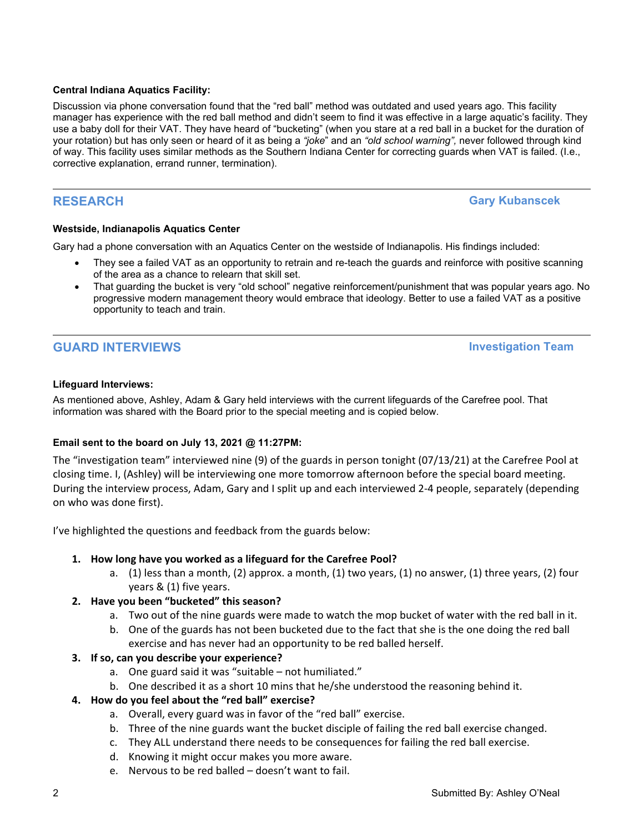#### **Central Indiana Aquatics Facility:**

Discussion via phone conversation found that the "red ball" method was outdated and used years ago. This facility manager has experience with the red ball method and didn't seem to find it was effective in a large aquatic's facility. They use a baby doll for their VAT. They have heard of "bucketing" (when you stare at a red ball in a bucket for the duration of your rotation) but has only seen or heard of it as being a *"joke*" and an *"old school warning",* never followed through kind of way. This facility uses similar methods as the Southern Indiana Center for correcting guards when VAT is failed. (I.e., corrective explanation, errand runner, termination).

**RESEARCH Gary Kubanscek**

#### **Westside, Indianapolis Aquatics Center**

Gary had a phone conversation with an Aquatics Center on the westside of Indianapolis. His findings included:

- They see a failed VAT as an opportunity to retrain and re-teach the guards and reinforce with positive scanning of the area as a chance to relearn that skill set.
- That guarding the bucket is very "old school" negative reinforcement/punishment that was popular years ago. No progressive modern management theory would embrace that ideology. Better to use a failed VAT as a positive opportunity to teach and train.

# **GUARD INTERVIEWS Investigation Team**

#### **Lifeguard Interviews:**

As mentioned above, Ashley, Adam & Gary held interviews with the current lifeguards of the Carefree pool. That information was shared with the Board prior to the special meeting and is copied below.

### **Email sent to the board on July 13, 2021 @ 11:27PM:**

The "investigation team" interviewed nine (9) of the guards in person tonight (07/13/21) at the Carefree Pool at closing time. I, (Ashley) will be interviewing one more tomorrow afternoon before the special board meeting. During the interview process, Adam, Gary and I split up and each interviewed 2-4 people, separately (depending on who was done first).

I've highlighted the questions and feedback from the guards below:

### **1. How long have you worked as a lifeguard for the Carefree Pool?**

a. (1) less than a month, (2) approx. a month, (1) two years, (1) no answer, (1) three years, (2) four years & (1) five years.

#### **2. Have you been "bucketed" this season?**

- a. Two out of the nine guards were made to watch the mop bucket of water with the red ball in it.
- b. One of the guards has not been bucketed due to the fact that she is the one doing the red ball exercise and has never had an opportunity to be red balled herself.

#### **3. If so, can you describe your experience?**

- a. One guard said it was "suitable not humiliated."
- b. One described it as a short 10 mins that he/she understood the reasoning behind it.

### **4. How do you feel about the "red ball" exercise?**

- a. Overall, every guard was in favor of the "red ball" exercise.
- b. Three of the nine guards want the bucket disciple of failing the red ball exercise changed.
- c. They ALL understand there needs to be consequences for failing the red ball exercise.
- d. Knowing it might occur makes you more aware.
- e. Nervous to be red balled doesn't want to fail.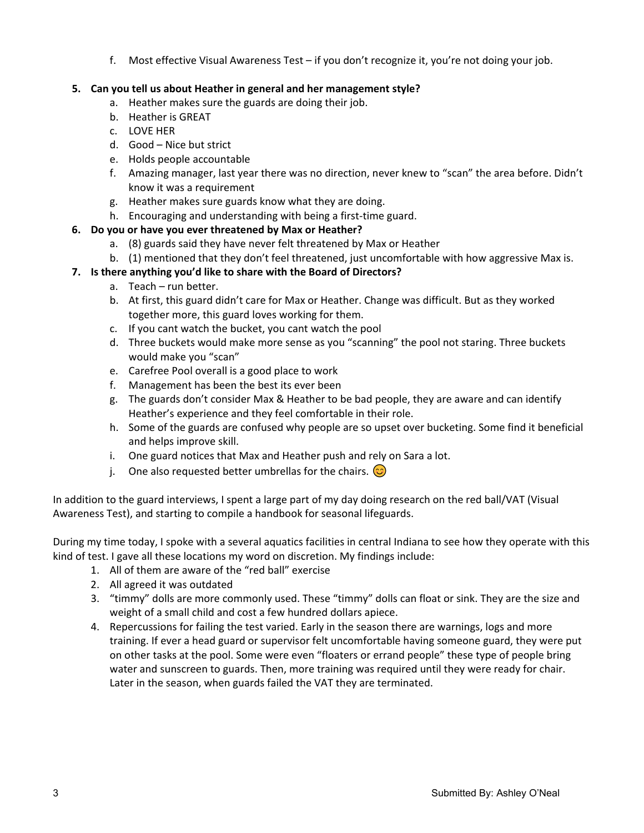f. Most effective Visual Awareness Test – if you don't recognize it, you're not doing your job.

## **5. Can you tell us about Heather in general and her management style?**

- a. Heather makes sure the guards are doing their job.
- b. Heather is GREAT
- c. LOVE HER
- d. Good Nice but strict
- e. Holds people accountable
- f. Amazing manager, last year there was no direction, never knew to "scan" the area before. Didn't know it was a requirement
- g. Heather makes sure guards know what they are doing.
- h. Encouraging and understanding with being a first-time guard.

# **6. Do you or have you ever threatened by Max or Heather?**

- a. (8) guards said they have never felt threatened by Max or Heather
- b. (1) mentioned that they don't feel threatened, just uncomfortable with how aggressive Max is.

# **7. Is there anything you'd like to share with the Board of Directors?**

- a. Teach run better.
- b. At first, this guard didn't care for Max or Heather. Change was difficult. But as they worked together more, this guard loves working for them.
- c. If you cant watch the bucket, you cant watch the pool
- d. Three buckets would make more sense as you "scanning" the pool not staring. Three buckets would make you "scan"
- e. Carefree Pool overall is a good place to work
- f. Management has been the best its ever been
- g. The guards don't consider Max & Heather to be bad people, they are aware and can identify Heather's experience and they feel comfortable in their role.
- h. Some of the guards are confused why people are so upset over bucketing. Some find it beneficial and helps improve skill.
- i. One guard notices that Max and Heather push and rely on Sara a lot.
- j. One also requested better umbrellas for the chairs.  $\odot$

In addition to the guard interviews, I spent a large part of my day doing research on the red ball/VAT (Visual Awareness Test), and starting to compile a handbook for seasonal lifeguards.

During my time today, I spoke with a several aquatics facilities in central Indiana to see how they operate with this kind of test. I gave all these locations my word on discretion. My findings include:

- 1. All of them are aware of the "red ball" exercise
- 2. All agreed it was outdated
- 3. "timmy" dolls are more commonly used. These "timmy" dolls can float or sink. They are the size and weight of a small child and cost a few hundred dollars apiece.
- 4. Repercussions for failing the test varied. Early in the season there are warnings, logs and more training. If ever a head guard or supervisor felt uncomfortable having someone guard, they were put on other tasks at the pool. Some were even "floaters or errand people" these type of people bring water and sunscreen to guards. Then, more training was required until they were ready for chair. Later in the season, when guards failed the VAT they are terminated.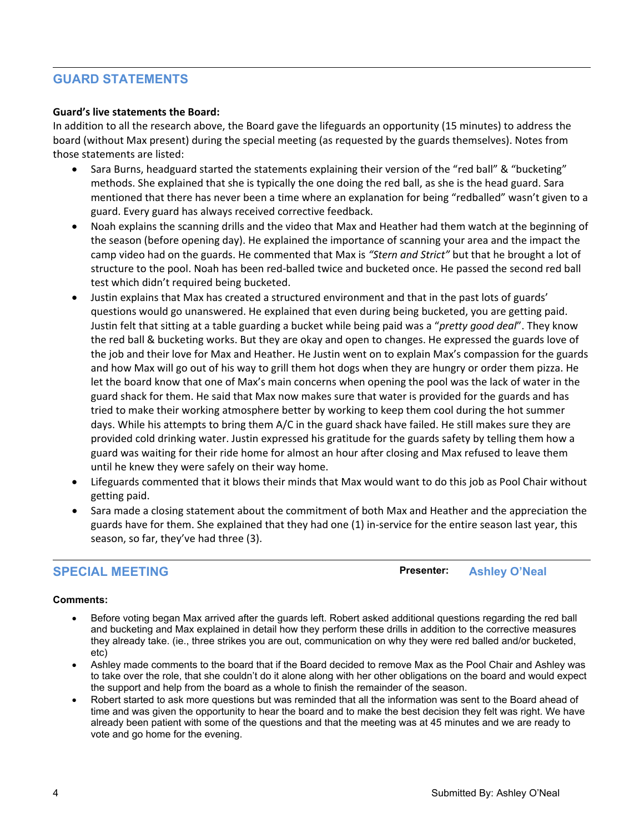# **GUARD STATEMENTS**

#### **Guard's live statements the Board:**

In addition to all the research above, the Board gave the lifeguards an opportunity (15 minutes) to address the board (without Max present) during the special meeting (as requested by the guards themselves). Notes from those statements are listed:

- Sara Burns, headguard started the statements explaining their version of the "red ball" & "bucketing" methods. She explained that she is typically the one doing the red ball, as she is the head guard. Sara mentioned that there has never been a time where an explanation for being "redballed" wasn't given to a guard. Every guard has always received corrective feedback.
- Noah explains the scanning drills and the video that Max and Heather had them watch at the beginning of the season (before opening day). He explained the importance of scanning your area and the impact the camp video had on the guards. He commented that Max is *"Stern and Strict"* but that he brought a lot of structure to the pool. Noah has been red-balled twice and bucketed once. He passed the second red ball test which didn't required being bucketed.
- Justin explains that Max has created a structured environment and that in the past lots of guards' questions would go unanswered. He explained that even during being bucketed, you are getting paid. Justin felt that sitting at a table guarding a bucket while being paid was a "*pretty good deal*". They know the red ball & bucketing works. But they are okay and open to changes. He expressed the guards love of the job and their love for Max and Heather. He Justin went on to explain Max's compassion for the guards and how Max will go out of his way to grill them hot dogs when they are hungry or order them pizza. He let the board know that one of Max's main concerns when opening the pool was the lack of water in the guard shack for them. He said that Max now makes sure that water is provided for the guards and has tried to make their working atmosphere better by working to keep them cool during the hot summer days. While his attempts to bring them A/C in the guard shack have failed. He still makes sure they are provided cold drinking water. Justin expressed his gratitude for the guards safety by telling them how a guard was waiting for their ride home for almost an hour after closing and Max refused to leave them until he knew they were safely on their way home.
- Lifeguards commented that it blows their minds that Max would want to do this job as Pool Chair without getting paid.
- Sara made a closing statement about the commitment of both Max and Heather and the appreciation the guards have for them. She explained that they had one (1) in-service for the entire season last year, this season, so far, they've had three (3).

**SPECIAL MEETING Presenter: Ashley O'Neal**

#### **Comments:**

- Before voting began Max arrived after the guards left. Robert asked additional questions regarding the red ball and bucketing and Max explained in detail how they perform these drills in addition to the corrective measures they already take. (ie., three strikes you are out, communication on why they were red balled and/or bucketed, etc)
- Ashley made comments to the board that if the Board decided to remove Max as the Pool Chair and Ashley was to take over the role, that she couldn't do it alone along with her other obligations on the board and would expect the support and help from the board as a whole to finish the remainder of the season.
- Robert started to ask more questions but was reminded that all the information was sent to the Board ahead of time and was given the opportunity to hear the board and to make the best decision they felt was right. We have already been patient with some of the questions and that the meeting was at 45 minutes and we are ready to vote and go home for the evening.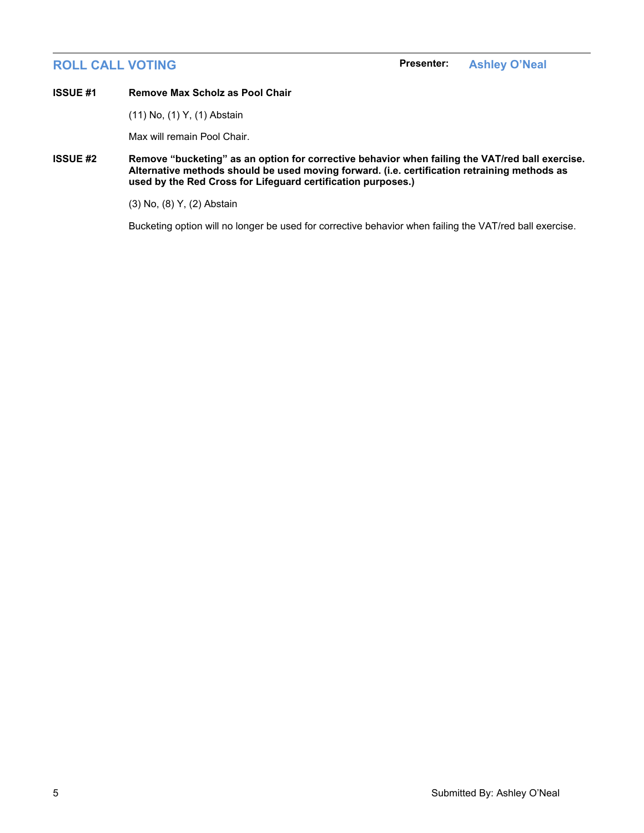#### **ISSUE #1 Remove Max Scholz as Pool Chair**

(11) No, (1) Y, (1) Abstain

Max will remain Pool Chair.

**ISSUE #2 Remove "bucketing" as an option for corrective behavior when failing the VAT/red ball exercise. Alternative methods should be used moving forward. (i.e. certification retraining methods as used by the Red Cross for Lifeguard certification purposes.)**

(3) No, (8) Y, (2) Abstain

Bucketing option will no longer be used for corrective behavior when failing the VAT/red ball exercise.